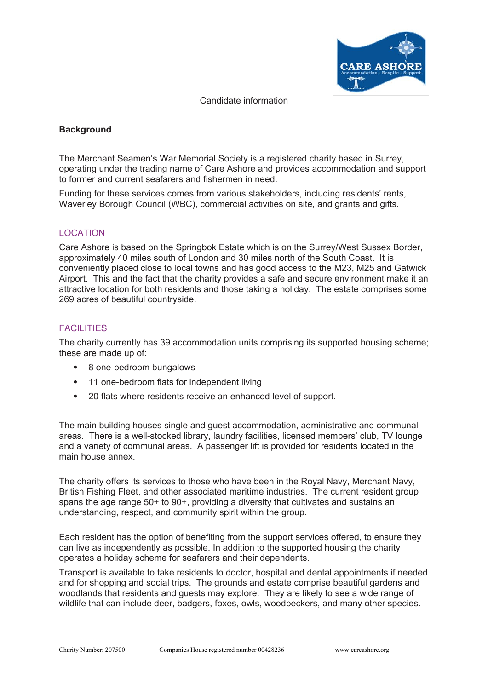

Candidate information

# **Background**

The Merchant Seamen's War Memorial Society is a registered charity based in Surrey, operating under the trading name of Care Ashore and provides accommodation and support to former and current seafarers and fishermen in need.

Funding for these services comes from various stakeholders, including residents' rents, Waverley Borough Council (WBC), commercial activities on site, and grants and gifts.

# LOCATION

Care Ashore is based on the Springbok Estate which is on the Surrey/West Sussex Border, approximately 40 miles south of London and 30 miles north of the South Coast. It is conveniently placed close to local towns and has good access to the M23, M25 and Gatwick Airport. This and the fact that the charity provides a safe and secure environment make it an attractive location for both residents and those taking a holiday. The estate comprises some 269 acres of beautiful countryside.

# FACILITIES

The charity currently has 39 accommodation units comprising its supported housing scheme; these are made up of:

- 8 one-bedroom bungalows
- 11 one-bedroom flats for independent living
- 20 flats where residents receive an enhanced level of support.

The main building houses single and guest accommodation, administrative and communal areas. There is a well-stocked library, laundry facilities, licensed members' club, TV lounge and a variety of communal areas. A passenger lift is provided for residents located in the main house annex.

The charity offers its services to those who have been in the Royal Navy, Merchant Navy, British Fishing Fleet, and other associated maritime industries. The current resident group spans the age range 50+ to 90+, providing a diversity that cultivates and sustains an understanding, respect, and community spirit within the group.

Each resident has the option of benefiting from the support services offered, to ensure they can live as independently as possible. In addition to the supported housing the charity operates a holiday scheme for seafarers and their dependents.

Transport is available to take residents to doctor, hospital and dental appointments if needed and for shopping and social trips. The grounds and estate comprise beautiful gardens and woodlands that residents and guests may explore. They are likely to see a wide range of wildlife that can include deer, badgers, foxes, owls, woodpeckers, and many other species.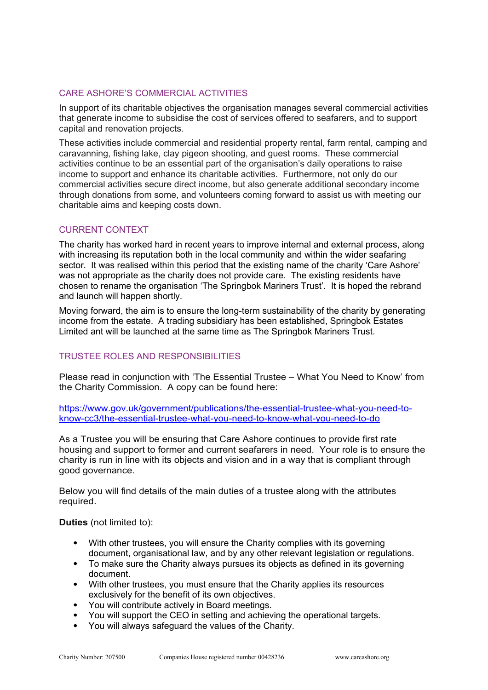# CARE ASHORE'S COMMERCIAL ACTIVITIES

In support of its charitable objectives the organisation manages several commercial activities that generate income to subsidise the cost of services offered to seafarers, and to support capital and renovation projects.

These activities include commercial and residential property rental, farm rental, camping and caravanning, fishing lake, clay pigeon shooting, and guest rooms. These commercial activities continue to be an essential part of the organisation's daily operations to raise income to support and enhance its charitable activities. Furthermore, not only do our commercial activities secure direct income, but also generate additional secondary income through donations from some, and volunteers coming forward to assist us with meeting our charitable aims and keeping costs down.

# CURRENT CONTEXT

The charity has worked hard in recent years to improve internal and external process, along with increasing its reputation both in the local community and within the wider seafaring sector. It was realised within this period that the existing name of the charity 'Care Ashore' was not appropriate as the charity does not provide care. The existing residents have chosen to rename the organisation 'The Springbok Mariners Trust'. It is hoped the rebrand and launch will happen shortly.

Moving forward, the aim is to ensure the long-term sustainability of the charity by generating income from the estate. A trading subsidiary has been established, Springbok Estates Limited ant will be launched at the same time as The Springbok Mariners Trust.

# TRUSTEE ROLES AND RESPONSIBILITIES

Please read in conjunction with 'The Essential Trustee – What You Need to Know' from the Charity Commission. A copy can be found here:

[https://www.gov.uk/government/publications/the-essential-trustee-what-you-need-to](https://www.gov.uk/government/publications/the-essential-trustee-what-you-need-to-know-cc3/the-essential-trustee-what-you-need-to-know-what-you-need-to-do)[know-cc3/the-essential-trustee-what-you-need-to-know-what-you-need-to-do](https://www.gov.uk/government/publications/the-essential-trustee-what-you-need-to-know-cc3/the-essential-trustee-what-you-need-to-know-what-you-need-to-do)

As a Trustee you will be ensuring that Care Ashore continues to provide first rate housing and support to former and current seafarers in need. Your role is to ensure the charity is run in line with its objects and vision and in a way that is compliant through good governance.

Below you will find details of the main duties of a trustee along with the attributes required.

# **Duties** (not limited to):

- With other trustees, you will ensure the Charity complies with its governing document, organisational law, and by any other relevant legislation or regulations.
- To make sure the Charity always pursues its objects as defined in its governing document.
- With other trustees, you must ensure that the Charity applies its resources exclusively for the benefit of its own objectives.
- You will contribute actively in Board meetings.
- You will support the CEO in setting and achieving the operational targets.
- You will always safeguard the values of the Charity.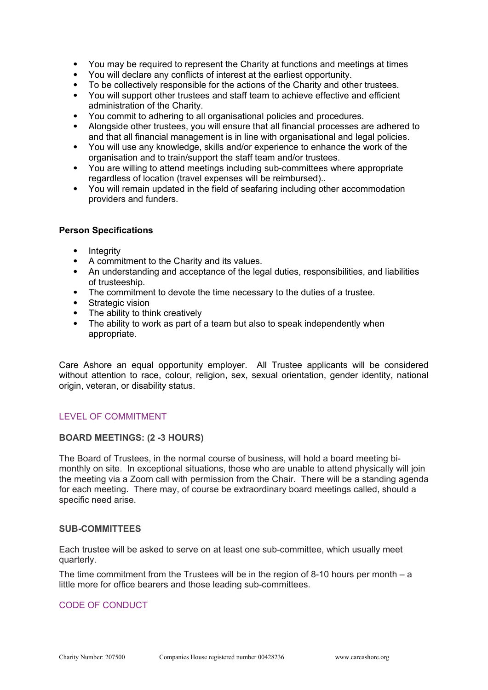- You may be required to represent the Charity at functions and meetings at times
- You will declare any conflicts of interest at the earliest opportunity.
- To be collectively responsible for the actions of the Charity and other trustees.
- You will support other trustees and staff team to achieve effective and efficient administration of the Charity.
- You commit to adhering to all organisational policies and procedures.
- Alongside other trustees, you will ensure that all financial processes are adhered to and that all financial management is in line with organisational and legal policies.
- You will use any knowledge, skills and/or experience to enhance the work of the organisation and to train/support the staff team and/or trustees.
- You are willing to attend meetings including sub-committees where appropriate regardless of location (travel expenses will be reimbursed)..
- You will remain updated in the field of seafaring including other accommodation providers and funders.

#### **Person Specifications**

- Integrity
- A commitment to the Charity and its values.
- An understanding and acceptance of the legal duties, responsibilities, and liabilities of trusteeship.
- The commitment to devote the time necessary to the duties of a trustee.
- Strategic vision
- The ability to think creatively
- The ability to work as part of a team but also to speak independently when appropriate.

Care Ashore an equal opportunity employer. All Trustee applicants will be considered without attention to race, colour, religion, sex, sexual orientation, gender identity, national origin, veteran, or disability status.

# LEVEL OF COMMITMENT

# **BOARD MEETINGS: (2 -3 HOURS)**

The Board of Trustees, in the normal course of business, will hold a board meeting bimonthly on site. In exceptional situations, those who are unable to attend physically will join the meeting via a Zoom call with permission from the Chair. There will be a standing agenda for each meeting. There may, of course be extraordinary board meetings called, should a specific need arise.

#### **SUB-COMMITTEES**

Each trustee will be asked to serve on at least one sub-committee, which usually meet quarterly.

The time commitment from the Trustees will be in the region of 8-10 hours per month  $- a$ little more for office bearers and those leading sub-committees.

# CODE OF CONDUCT